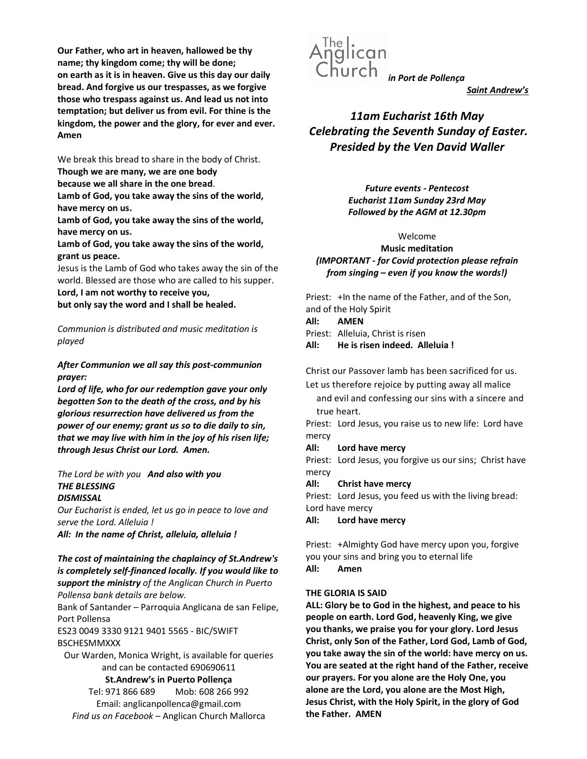Our Father, who art in heaven, hallowed be thy name; thy kingdom come; thy will be done; on earth as it is in heaven. Give us this day our daily bread. And forgive us our trespasses, as we forgive those who trespass against us. And lead us not into temptation; but deliver us from evil. For thine is the kingdom, the power and the glory, for ever and ever. Amen

We break this bread to share in the body of Christ.

Though we are many, we are one body because we all share in the one bread.

Lamb of God, you take away the sins of the world, have mercy on us.

Lamb of God, you take away the sins of the world, have mercy on us.

Lamb of God, you take away the sins of the world, grant us peace.

Jesus is the Lamb of God who takes away the sin of the world. Blessed are those who are called to his supper.

Lord, I am not worthy to receive you, but only say the word and I shall be healed.

Communion is distributed and music meditation is played

## After Communion we all say this post-communion prayer:

Lord of life, who for our redemption gave your only begotten Son to the death of the cross, and by his glorious resurrection have delivered us from the power of our enemy; grant us so to die daily to sin, that we may live with him in the joy of his risen life; through Jesus Christ our Lord. Amen.

## The Lord be with you And also with you THE BLESSING **DISMISSAL**

Our Eucharist is ended, let us go in peace to love and serve the Lord. Alleluia !

All: In the name of Christ, alleluia, alleluia !

## The cost of maintaining the chaplaincy of St.Andrew's is completely self-financed locally. If you would like to support the ministry of the Anglican Church in Puerto Pollensa bank details are below.

Bank of Santander – Parroquia Anglicana de san Felipe, Port Pollensa

ES23 0049 3330 9121 9401 5565 - BIC/SWIFT BSCHESMMXXX

Our Warden, Monica Wright, is available for queries and can be contacted 690690611

## St.Andrew's in Puerto Pollença

Tel: 971 866 689 Mob: 608 266 992 Email: anglicanpollenca@gmail.com Find us on Facebook – Anglican Church Mallorca



Saint Andrew's

11am Eucharist 16th May Celebrating the Seventh Sunday of Easter. Presided by the Ven David Waller

> Future events - Pentecost Eucharist 11am Sunday 23rd May Followed by the AGM at 12.30pm

# Welcome

Music meditation (IMPORTANT - for Covid protection please refrain from singing – even if you know the words!)

Priest: +In the name of the Father, and of the Son, and of the Holy Spirit

## All: AMEN

Priest: Alleluia, Christ is risen

All: He is risen indeed. Alleluia !

Christ our Passover lamb has been sacrificed for us.

Let us therefore rejoice by putting away all malice and evil and confessing our sins with a sincere and true heart.

Priest: Lord Jesus, you raise us to new life: Lord have mercy

# All: Lord have mercy

Priest: Lord Jesus, you forgive us our sins; Christ have mercy

All: Christ have mercy

Priest: Lord Jesus, you feed us with the living bread: Lord have mercy

All: Lord have mercy

Priest: +Almighty God have mercy upon you, forgive you your sins and bring you to eternal life All: Amen

# THE GLORIA IS SAID

ALL: Glory be to God in the highest, and peace to his people on earth. Lord God, heavenly King, we give you thanks, we praise you for your glory. Lord Jesus Christ, only Son of the Father, Lord God, Lamb of God, you take away the sin of the world: have mercy on us. You are seated at the right hand of the Father, receive our prayers. For you alone are the Holy One, you alone are the Lord, you alone are the Most High, Jesus Christ, with the Holy Spirit, in the glory of God the Father. AMEN